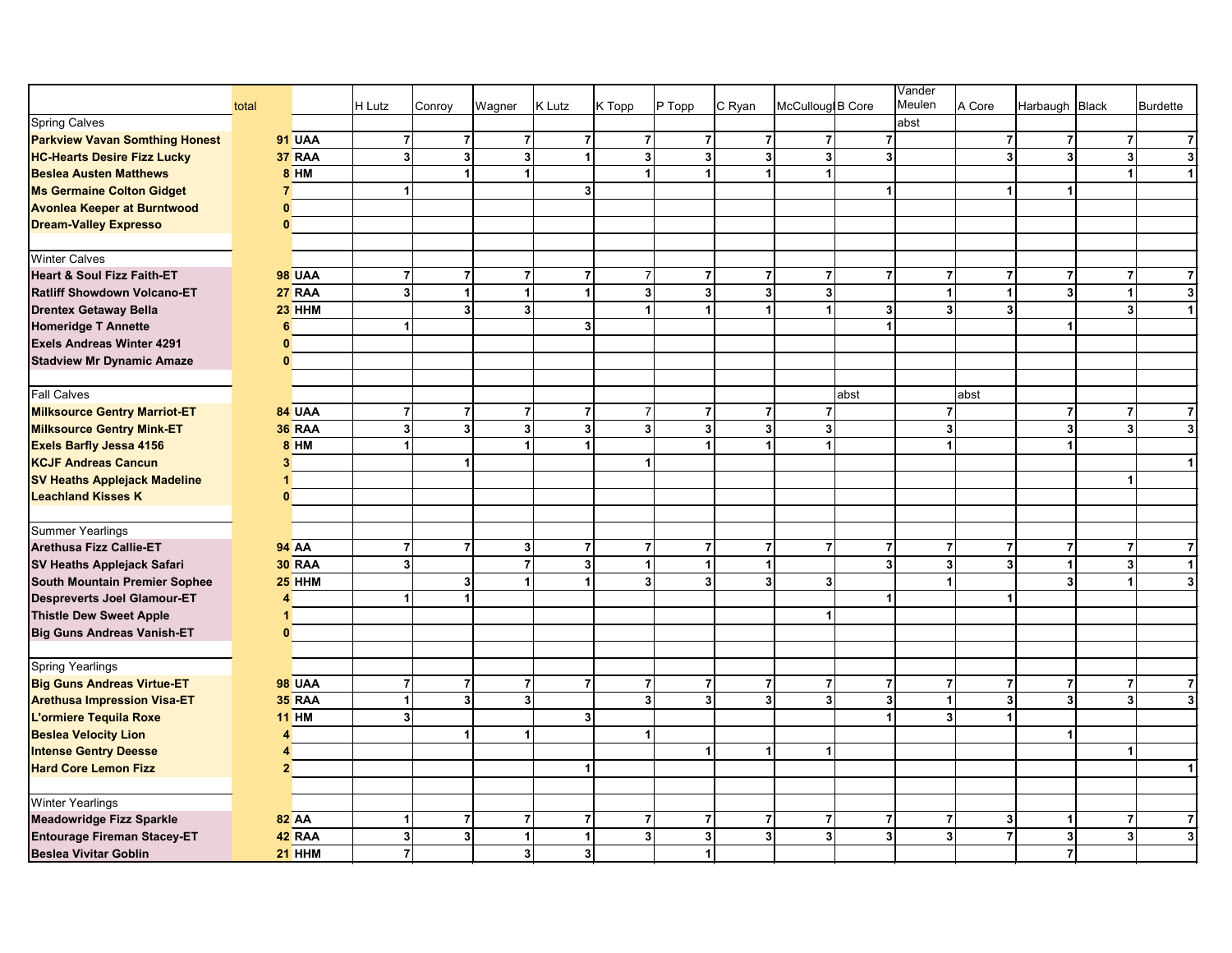|                                       |       |                |                         |                         |                |        |                                  |                |                |                                           |                         | Vander               |        |                                  |                         |                         |
|---------------------------------------|-------|----------------|-------------------------|-------------------------|----------------|--------|----------------------------------|----------------|----------------|-------------------------------------------|-------------------------|----------------------|--------|----------------------------------|-------------------------|-------------------------|
|                                       | total |                | H Lutz                  | Conroy                  | Wagner         | K Lutz | K Topp                           | $P$ Topp       | C Ryan         | McCulloug B Core                          |                         | Meulen               | A Core | Harbaugh Black                   |                         | Burdette                |
| <b>Spring Calves</b>                  |       |                |                         |                         |                |        |                                  |                |                |                                           |                         | abst                 |        |                                  |                         |                         |
| <b>Parkview Vavan Somthing Honest</b> |       | 91 UAA         | $\overline{7}$          | $\overline{7}$          | $\overline{7}$ |        | $\overline{7}$<br>$\overline{7}$ |                | $\overline{7}$ | $\overline{7}$<br>$\overline{7}$          | $\overline{7}$          |                      |        | $\overline{7}$<br>$\overline{7}$ | $\overline{7}$          | $\overline{7}$          |
| <b>HC-Hearts Desire Fizz Lucky</b>    |       | 37 RAA         | $\overline{\mathbf{3}}$ | $\overline{\mathbf{3}}$ | 3 <sup>1</sup> |        | $\overline{\mathbf{3}}$<br>1     |                | 3              | 3 <sup>1</sup><br>$\mathbf{3}$            | 3 <sup>1</sup>          |                      |        | $\overline{\mathbf{3}}$<br>3     | $\overline{\mathbf{3}}$ | $\overline{3}$          |
| <b>Beslea Austen Matthews</b>         |       | <b>8 HM</b>    |                         | $\overline{1}$          | $\mathbf{1}$   |        | 1                                | 1              |                |                                           |                         |                      |        |                                  | 1                       | $\mathbf{1}$            |
| <b>Ms Germaine Colton Gidget</b>      |       | $\overline{7}$ | $\blacktriangleleft$    |                         |                |        | 3 <sup>1</sup>                   |                |                |                                           | $\mathbf{1}$            |                      |        | $\mathbf{1}$<br>1                |                         |                         |
| <b>Avonlea Keeper at Burntwood</b>    |       | $\mathbf{0}$   |                         |                         |                |        |                                  |                |                |                                           |                         |                      |        |                                  |                         |                         |
| <b>Dream-Valley Expresso</b>          |       | $\mathbf{0}$   |                         |                         |                |        |                                  |                |                |                                           |                         |                      |        |                                  |                         |                         |
|                                       |       |                |                         |                         |                |        |                                  |                |                |                                           |                         |                      |        |                                  |                         |                         |
| <b>Winter Calves</b>                  |       |                |                         |                         |                |        |                                  |                |                |                                           |                         |                      |        |                                  |                         |                         |
| <b>Heart &amp; Soul Fizz Faith-ET</b> |       | <b>98 UAA</b>  | $\overline{7}$          | $\overline{7}$          | $\overline{7}$ |        | $\overline{7}$<br>7              |                | $\overline{7}$ | $\overline{7}$<br>$\overline{7}$          | $\overline{7}$          | $\overline{7}$       |        | $\overline{7}$<br>$\overline{7}$ | $\overline{7}$          | 7                       |
| <b>Ratliff Showdown Volcano-ET</b>    |       | <b>27 RAA</b>  | $\overline{\mathbf{3}}$ | 1                       | $\vert$        |        | $\overline{\mathbf{3}}$<br>1     |                | 3 <sup>1</sup> | 3 <sup>1</sup><br>$\mathbf{3}$            |                         | $\blacktriangleleft$ |        | 3 <sup>1</sup><br>$\mathbf{1}$   | $\mathbf{1}$            | $\overline{3}$          |
| <b>Drentex Getaway Bella</b>          |       | $23$ HHM       |                         | 3                       | 3              |        |                                  | 1              |                | 1                                         | $\mathbf{3}$            | 3                    |        | 3                                | $\overline{\mathbf{3}}$ | $\blacktriangleleft$    |
| <b>Homeridge T Annette</b>            |       | 6              | $\mathbf{1}$            |                         |                |        | $\mathbf{3}$                     |                |                |                                           | 1                       |                      |        | 1                                |                         |                         |
| Exels Andreas Winter 4291             |       | $\bf{0}$       |                         |                         |                |        |                                  |                |                |                                           |                         |                      |        |                                  |                         |                         |
| <b>Stadview Mr Dynamic Amaze</b>      |       | $\mathbf{0}$   |                         |                         |                |        |                                  |                |                |                                           |                         |                      |        |                                  |                         |                         |
|                                       |       |                |                         |                         |                |        |                                  |                |                |                                           |                         |                      |        |                                  |                         |                         |
| <b>Fall Calves</b>                    |       |                |                         |                         |                |        |                                  |                |                |                                           | abst                    |                      | abst   |                                  |                         |                         |
| <b>Milksource Gentry Marriot-ET</b>   |       | 84 UAA         | $\overline{7}$          | $\overline{7}$          | $\overline{7}$ |        | $\overline{7}$<br>$\overline{7}$ |                | $\overline{7}$ | $\overline{7}$<br>$\overline{7}$          |                         | $\overline{7}$       |        | $\overline{7}$                   | $\overline{7}$          | $\overline{7}$          |
| <b>Milksource Gentry Mink-ET</b>      |       | <b>36 RAA</b>  | $\overline{\mathbf{3}}$ | 3                       | $\mathbf{3}$   |        | $\overline{\mathbf{3}}$<br>3     |                | 3 <sup>1</sup> | $\overline{\mathbf{3}}$<br>3 <sup>1</sup> |                         | 3                    |        | $\mathbf 3$                      | $\overline{3}$          | $\overline{\mathbf{3}}$ |
| Exels Barfly Jessa 4156               |       | <b>8 HM</b>    | $\blacktriangleleft$    |                         | 1              |        |                                  | $\overline{1}$ |                |                                           |                         |                      |        | $\overline{1}$                   |                         |                         |
| <b>KCJF Andreas Cancun</b>            |       | 3              |                         | 1                       |                |        | -1                               |                |                |                                           |                         |                      |        |                                  |                         | 1                       |
| <b>SV Heaths Applejack Madeline</b>   |       | 1              |                         |                         |                |        |                                  |                |                |                                           |                         |                      |        |                                  |                         |                         |
| <b>Leachland Kisses K</b>             |       | $\mathbf{0}$   |                         |                         |                |        |                                  |                |                |                                           |                         |                      |        |                                  |                         |                         |
|                                       |       |                |                         |                         |                |        |                                  |                |                |                                           |                         |                      |        |                                  |                         |                         |
| <b>Summer Yearlings</b>               |       |                |                         |                         |                |        |                                  |                |                |                                           |                         |                      |        |                                  |                         |                         |
| <b>Arethusa Fizz Callie-ET</b>        |       | <b>94 AA</b>   | $\overline{7}$          | $\overline{7}$          | 3 <sup>1</sup> |        | $\overline{7}$<br>$\overline{7}$ |                | $\overline{7}$ | $\overline{7}$<br>$\overline{7}$          | $\overline{7}$          | $\overline{7}$       |        | $\overline{7}$<br>$\overline{7}$ | $\overline{7}$          | $\overline{7}$          |
| SV Heaths Applejack Safari            |       | <b>30 RAA</b>  | 3 <sup>1</sup>          |                         | $\overline{7}$ |        | 3                                | 1              |                | 1                                         | $\overline{\mathbf{3}}$ |                      |        | 3<br>$\mathbf{1}$                | 3 <sup>1</sup>          | $\mathbf{1}$            |
| South Mountain Premier Sophee         |       | 25 HHM         |                         | 3                       | 1              |        | 3                                |                | 3 <sup>1</sup> | 3 <sup>1</sup><br>3                       |                         |                      |        | 3                                |                         | $\overline{\mathbf{3}}$ |
| <b>Despreverts Joel Glamour-ET</b>    |       | 4              | $\mathbf{1}$            | 1                       |                |        |                                  |                |                |                                           | $\mathbf{1}$            |                      |        | $\blacktriangleleft$             |                         |                         |
| <b>Thistle Dew Sweet Apple</b>        |       | 1              |                         |                         |                |        |                                  |                |                |                                           |                         |                      |        |                                  |                         |                         |
| <b>Big Guns Andreas Vanish-ET</b>     |       | $\mathbf{0}$   |                         |                         |                |        |                                  |                |                |                                           |                         |                      |        |                                  |                         |                         |
|                                       |       |                |                         |                         |                |        |                                  |                |                |                                           |                         |                      |        |                                  |                         |                         |
| <b>Spring Yearlings</b>               |       |                |                         |                         |                |        |                                  |                |                |                                           |                         |                      |        |                                  |                         |                         |
| <b>Big Guns Andreas Virtue-ET</b>     |       | <b>98 UAA</b>  | $\overline{7}$          | $\overline{7}$          | $\overline{7}$ |        | $\overline{7}$<br>$\overline{7}$ |                | $\overline{7}$ | $\overline{7}$<br>$\overline{7}$          | $\overline{7}$          | $\overline{7}$       |        | $\overline{7}$<br>$\overline{7}$ | $\overline{7}$          | $\overline{7}$          |
| <b>Arethusa Impression Visa-ET</b>    |       | <b>35 RAA</b>  | $\mathbf{1}$            | $\overline{\mathbf{3}}$ | 3 <sup>1</sup> |        | $\overline{\mathbf{3}}$          |                | 3 <sup>1</sup> | $\overline{\mathbf{3}}$<br>3 <sup>1</sup> | 3                       |                      |        | 3<br>3                           | $\vert$ 3               | $\overline{3}$          |
| L'ormiere Tequila Roxe                |       | <b>11 HM</b>   | 3 <sup>1</sup>          |                         |                |        | 3 <sup>1</sup>                   |                |                |                                           | 1                       |                      |        | 1                                |                         |                         |
| <b>Beslea Velocity Lion</b>           |       | 4              |                         | 1                       | $\blacksquare$ |        | 1                                |                |                |                                           |                         |                      |        | $\mathbf{1}$                     |                         |                         |
| <b>Intense Gentry Deesse</b>          |       | 4              |                         |                         |                |        |                                  | 1              |                | $\mathbf{1}$<br>1                         |                         |                      |        |                                  | 1                       |                         |
| <b>Hard Core Lemon Fizz</b>           |       | $\overline{2}$ |                         |                         |                |        | 1                                |                |                |                                           |                         |                      |        |                                  |                         |                         |
|                                       |       |                |                         |                         |                |        |                                  |                |                |                                           |                         |                      |        |                                  |                         |                         |
| <b>Winter Yearlings</b>               |       |                |                         |                         |                |        |                                  |                |                |                                           |                         |                      |        |                                  |                         |                         |
| <b>Meadowridge Fizz Sparkle</b>       |       | <b>82 AA</b>   | $\mathbf{1}$            | $\overline{7}$          | $\overline{7}$ |        | $\overline{7}$<br>$\overline{7}$ |                | $\overline{7}$ | $\mathbf{z}$<br>$\overline{7}$            | $\overline{7}$          |                      |        | 3<br>$\mathbf{1}$                | $\overline{7}$          | $\overline{7}$          |
| Entourage Fireman Stacey-ET           |       | 42 RAA         | $\mathbf{3}$            | 3                       | $\mathbf{1}$   |        | 3<br>1                           |                | 3 <sup>1</sup> | $\overline{\mathbf{3}}$<br>3 <sup>1</sup> | 3 <sup>1</sup>          | 3                    |        | $\overline{7}$<br>3              | $\overline{\mathbf{3}}$ | $\mathbf{3}$            |
| <b>Beslea Vivitar Goblin</b>          |       | $21$ HHM       | $\overline{7}$          |                         | 3 <sup>1</sup> |        | 3 <sup>1</sup>                   |                | $\mathbf{1}$   |                                           |                         |                      |        | $\overline{7}$                   |                         |                         |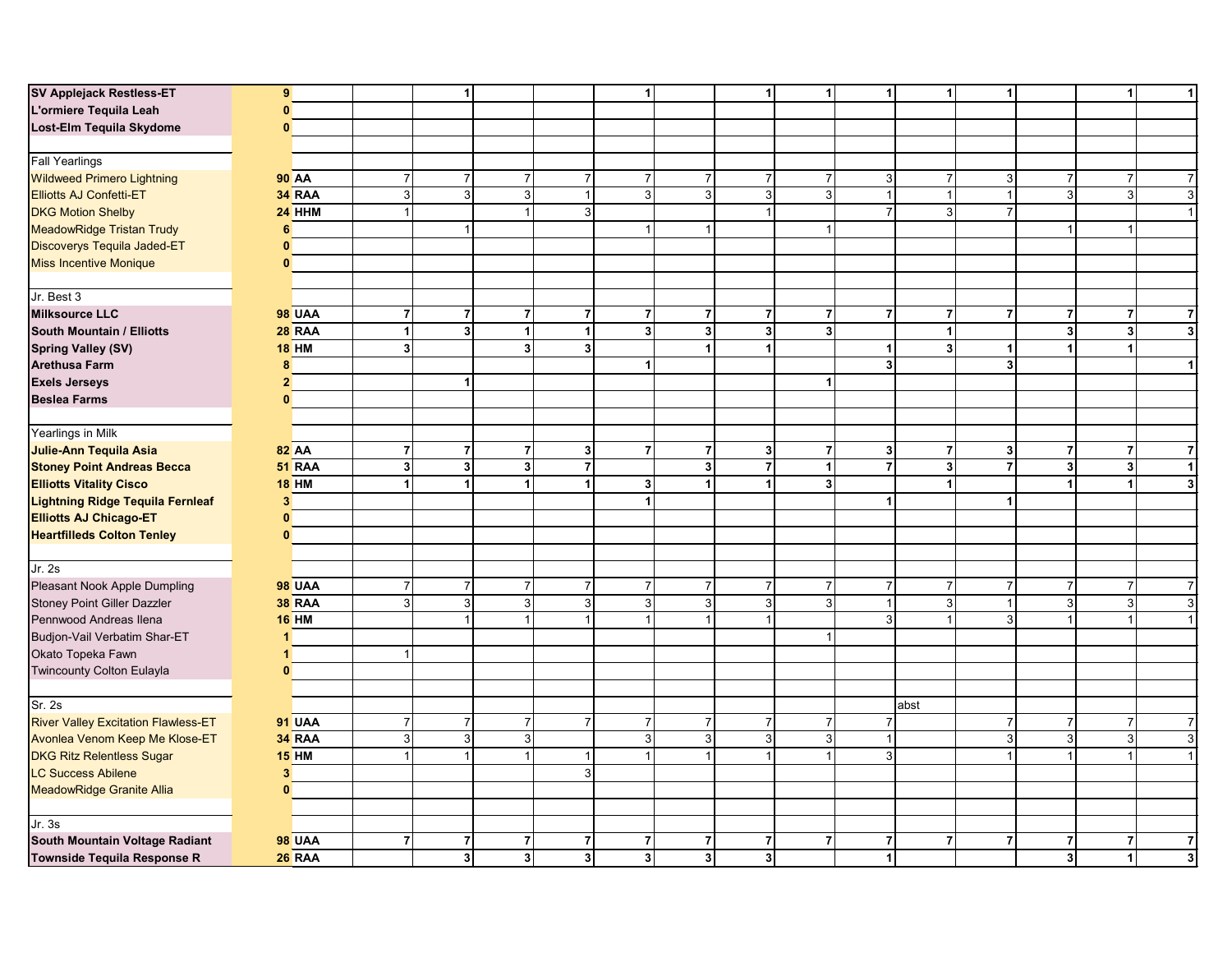| SV Applejack Restless-ET                   | 9               |               |                         | 1              |                |                | 1                       |                      | $\mathbf{1}$            | 1                       | $\vert$        | 1                       | $\mathbf{1}$            |                  | $\mathbf{1}$   | 1                       |
|--------------------------------------------|-----------------|---------------|-------------------------|----------------|----------------|----------------|-------------------------|----------------------|-------------------------|-------------------------|----------------|-------------------------|-------------------------|------------------|----------------|-------------------------|
| L'ormiere Tequila Leah                     | $\mathbf{0}$    |               |                         |                |                |                |                         |                      |                         |                         |                |                         |                         |                  |                |                         |
| Lost-Elm Tequila Skydome                   | $\mathbf 0$     |               |                         |                |                |                |                         |                      |                         |                         |                |                         |                         |                  |                |                         |
|                                            |                 |               |                         |                |                |                |                         |                      |                         |                         |                |                         |                         |                  |                |                         |
| <b>Fall Yearlings</b>                      |                 |               |                         |                |                |                |                         |                      |                         |                         |                |                         |                         |                  |                |                         |
| <b>Wildweed Primero Lightning</b>          | <b>90 AA</b>    |               | $\overline{\mathbf{7}}$ | $\overline{7}$ | 7 <sup>1</sup> | $\overline{7}$ | $\overline{7}$          | $\overline{7}$       | $\overline{7}$          | $\overline{7}$          | 3 <sup>1</sup> | $\overline{7}$          | $\mathbf{3}$            | $\boldsymbol{7}$ | $\overline{7}$ | $\overline{7}$          |
| Elliotts AJ Confetti-ET                    |                 | 34 RAA        | ω                       | 3 <sup>1</sup> | 3 <sup>1</sup> | $\overline{1}$ | 3                       | 3 <sup>1</sup>       | ω                       | 3                       |                | -1                      | $\overline{1}$          | $\overline{3}$   | 3 <sup>1</sup> | ω                       |
| <b>DKG Motion Shelby</b>                   |                 | $24$ HHM      | $\mathbf{1}$            |                | $\mathbf{1}$   | 3              |                         |                      | $\overline{1}$          |                         | $\overline{7}$ | 3                       | $\overline{7}$          |                  |                | $\mathbf{1}$            |
| <b>MeadowRidge Tristan Trudy</b>           | 6               |               |                         |                |                |                | $\overline{1}$          | $\overline{1}$       |                         |                         |                |                         |                         | 1                | $\overline{1}$ |                         |
|                                            |                 |               |                         |                |                |                |                         |                      |                         |                         |                |                         |                         |                  |                |                         |
| Discoverys Tequila Jaded-ET                | $\mathbf{0}$    |               |                         |                |                |                |                         |                      |                         |                         |                |                         |                         |                  |                |                         |
| <b>Miss Incentive Monique</b>              | $\mathbf{0}$    |               |                         |                |                |                |                         |                      |                         |                         |                |                         |                         |                  |                |                         |
| Jr. Best 3                                 |                 |               |                         |                |                |                |                         |                      |                         |                         |                |                         |                         |                  |                |                         |
| <b>Milksource LLC</b>                      |                 | <b>98 UAA</b> | $\boldsymbol{7}$        | $\overline{7}$ | $\overline{7}$ | $\overline{7}$ | $\overline{7}$          | $\overline{7}$       | $\overline{7}$          | $\overline{7}$          | $\overline{7}$ | $\overline{7}$          | $\overline{7}$          | $\overline{7}$   | 7              | $\overline{7}$          |
| South Mountain / Elliotts                  |                 | $28$ RAA      | $\mathbf{1}$            | 3              | $\mathbf{1}$   | $\overline{1}$ | $\overline{\mathbf{3}}$ | 3 <sup>1</sup>       | $\mathbf{3}$            | $\overline{\mathbf{3}}$ |                | 1                       |                         | $\mathbf{3}$     | 3 <sup>1</sup> | $\overline{\mathbf{3}}$ |
| Spring Valley (SV)                         | $18$ HM         |               | $\overline{\mathbf{3}}$ |                | 3 <sup>1</sup> | $\overline{3}$ |                         | $\blacktriangleleft$ | $\blacktriangleleft$    |                         | $\mathbf{1}$   | 3 <sup>1</sup>          | $\mathbf{1}$            | $\mathbf{1}$     | $\vert$ 1      |                         |
| <b>Arethusa Farm</b>                       | 8               |               |                         |                |                |                | 1                       |                      |                         |                         | 3 <sup>1</sup> |                         | $\overline{\mathbf{3}}$ |                  |                | 1                       |
| <b>Exels Jerseys</b>                       | $\overline{2}$  |               |                         |                |                |                |                         |                      |                         | $\blacktriangleleft$    |                |                         |                         |                  |                |                         |
| <b>Beslea Farms</b>                        |                 |               |                         |                |                |                |                         |                      |                         |                         |                |                         |                         |                  |                |                         |
|                                            | $\mathbf{0}$    |               |                         |                |                |                |                         |                      |                         |                         |                |                         |                         |                  |                |                         |
| Yearlings in Milk                          |                 |               |                         |                |                |                |                         |                      |                         |                         |                |                         |                         |                  |                |                         |
| Julie-Ann Tequila Asia                     | <b>82 AA</b>    |               | $\overline{7}$          | $\overline{7}$ | $\overline{7}$ | 3              | $\overline{\mathbf{r}}$ | $\overline{7}$       | $\mathbf{3}$            | $\overline{7}$          | 3 <sup>1</sup> | $\overline{7}$          | 3                       | $\overline{7}$   | 7              | $\overline{7}$          |
| <b>Stoney Point Andreas Becca</b>          |                 | <b>51 RAA</b> | $\mathbf 3$             | 3 <sup>1</sup> | 3              | $\overline{7}$ |                         | $\mathbf{3}$         | $\overline{7}$          | 1                       | $\overline{7}$ | $\overline{\mathbf{3}}$ | $\overline{7}$          | $\mathbf{3}$     | 3              | $\mathbf{1}$            |
| <b>Elliotts Vitality Cisco</b>             | <b>18 HM</b>    |               | $\mathbf{1}$            | $\mathbf{1}$   | $\vert$        | 1              | 3                       | $\blacktriangleleft$ | $\mathbf{1}$            | 3 <sup>1</sup>          |                | $\blacktriangleleft$    |                         | $\mathbf{1}$     | $\vert$ 1      | $\overline{\mathbf{3}}$ |
| Lightning Ridge Tequila Fernleaf           | $\mathbf{3}$    |               |                         |                |                |                | 1                       |                      |                         |                         | $\mathbf{1}$   |                         | $\overline{1}$          |                  |                |                         |
| <b>Elliotts AJ Chicago-ET</b>              | $\mathbf{0}$    |               |                         |                |                |                |                         |                      |                         |                         |                |                         |                         |                  |                |                         |
| <b>Heartfilleds Colton Tenley</b>          | $\overline{0}$  |               |                         |                |                |                |                         |                      |                         |                         |                |                         |                         |                  |                |                         |
|                                            |                 |               |                         |                |                |                |                         |                      |                         |                         |                |                         |                         |                  |                |                         |
| Jr.2s                                      |                 |               |                         |                |                |                |                         |                      |                         |                         |                |                         |                         |                  |                |                         |
| Pleasant Nook Apple Dumpling               |                 | <b>98 UAA</b> | $\boldsymbol{7}$        | $\overline{7}$ | $\overline{7}$ | $\overline{7}$ | 7                       | $\overline{7}$       | $\overline{7}$          | $\boldsymbol{7}$        | $\overline{7}$ | $\overline{7}$          | $\overline{7}$          | $\overline{7}$   | 7 <sup>1</sup> | $\overline{7}$          |
| Stoney Point Giller Dazzler                |                 | <b>38 RAA</b> | $\mathsf 3$             | 3              | $\overline{3}$ | $\mathbf{3}$   | 3                       | $\mathbf{3}$         | $\mathbf{3}$            | 3                       |                | 3                       | $\overline{1}$          | $\mathbf{3}$     | 3              | $\mathbf{3}$            |
| Pennwood Andreas Ilena                     | <b>16 HM</b>    |               |                         |                | -1             |                |                         |                      | $\mathbf{1}$            |                         | 3              | 1                       | 3                       | 1                | $\mathbf{1}$   |                         |
| Budjon-Vail Verbatim Shar-ET               | 1               |               |                         |                |                |                |                         |                      |                         |                         |                |                         |                         |                  |                |                         |
|                                            |                 |               |                         |                |                |                |                         |                      |                         |                         |                |                         |                         |                  |                |                         |
| Okato Topeka Fawn                          | 1               |               | $\mathbf{1}$            |                |                |                |                         |                      |                         |                         |                |                         |                         |                  |                |                         |
| Twincounty Colton Eulayla                  | $\mathbf{0}$    |               |                         |                |                |                |                         |                      |                         |                         |                |                         |                         |                  |                |                         |
| <b>Sr. 2s</b>                              |                 |               |                         |                |                |                |                         |                      |                         |                         |                | abst                    |                         |                  |                |                         |
| <b>River Valley Excitation Flawless-ET</b> |                 | <b>91 UAA</b> | $\overline{7}$          | $\overline{7}$ | $\overline{7}$ | $\overline{7}$ | $\overline{7}$          | $\overline{7}$       | $\overline{7}$          | $\overline{7}$          | $\overline{7}$ |                         | $\overline{7}$          | $\overline{7}$   | $\overline{7}$ | $\overline{7}$          |
|                                            |                 | <b>34 RAA</b> | $\mathbf 3$             |                |                |                |                         | 3                    |                         |                         |                |                         |                         |                  |                | $\overline{3}$          |
| Avonlea Venom Keep Me Klose-ET             |                 |               |                         | $\overline{3}$ | $\overline{3}$ |                | $\mathsf 3$             |                      | $\mathbf{3}$            | $\mathsf 3$             |                |                         | $\mathbf{3}$            | $\mathbf{3}$     | 3              |                         |
| <b>DKG Ritz Relentless Sugar</b>           | <b>15 HM</b>    |               | $\mathbf{1}$            |                | 1              | -1             |                         |                      | 1                       |                         | 3 <sup>1</sup> |                         | $\overline{1}$          | 1                | $\overline{1}$ |                         |
| <b>LC Success Abilene</b>                  | $3\phantom{.0}$ |               |                         |                |                | $\mathbf{3}$   |                         |                      |                         |                         |                |                         |                         |                  |                |                         |
| MeadowRidge Granite Allia                  | $\mathbf{0}$    |               |                         |                |                |                |                         |                      |                         |                         |                |                         |                         |                  |                |                         |
| Jr.3s                                      |                 |               |                         |                |                |                |                         |                      |                         |                         |                |                         |                         |                  |                |                         |
| South Mountain Voltage Radiant             |                 | <b>98 UAA</b> | $\overline{7}$          | $\overline{7}$ | $\overline{7}$ | $\overline{7}$ | $\overline{7}$          | $\overline{7}$       | $\overline{7}$          | $\overline{7}$          | $\overline{7}$ | $\overline{7}$          | $\overline{7}$          | $\overline{7}$   | $\overline{7}$ | $\overline{7}$          |
| Townside Tequila Response R                |                 | <b>26 RAA</b> |                         | 3 <sup>1</sup> | 3 <sup>1</sup> | $\mathbf{3}$   | 3 <sup>1</sup>          | 3 <sup>1</sup>       | $\overline{\mathbf{3}}$ |                         | $\vert$        |                         |                         | $\mathbf{3}$     | $\mathbf{1}$   | $\overline{\mathbf{3}}$ |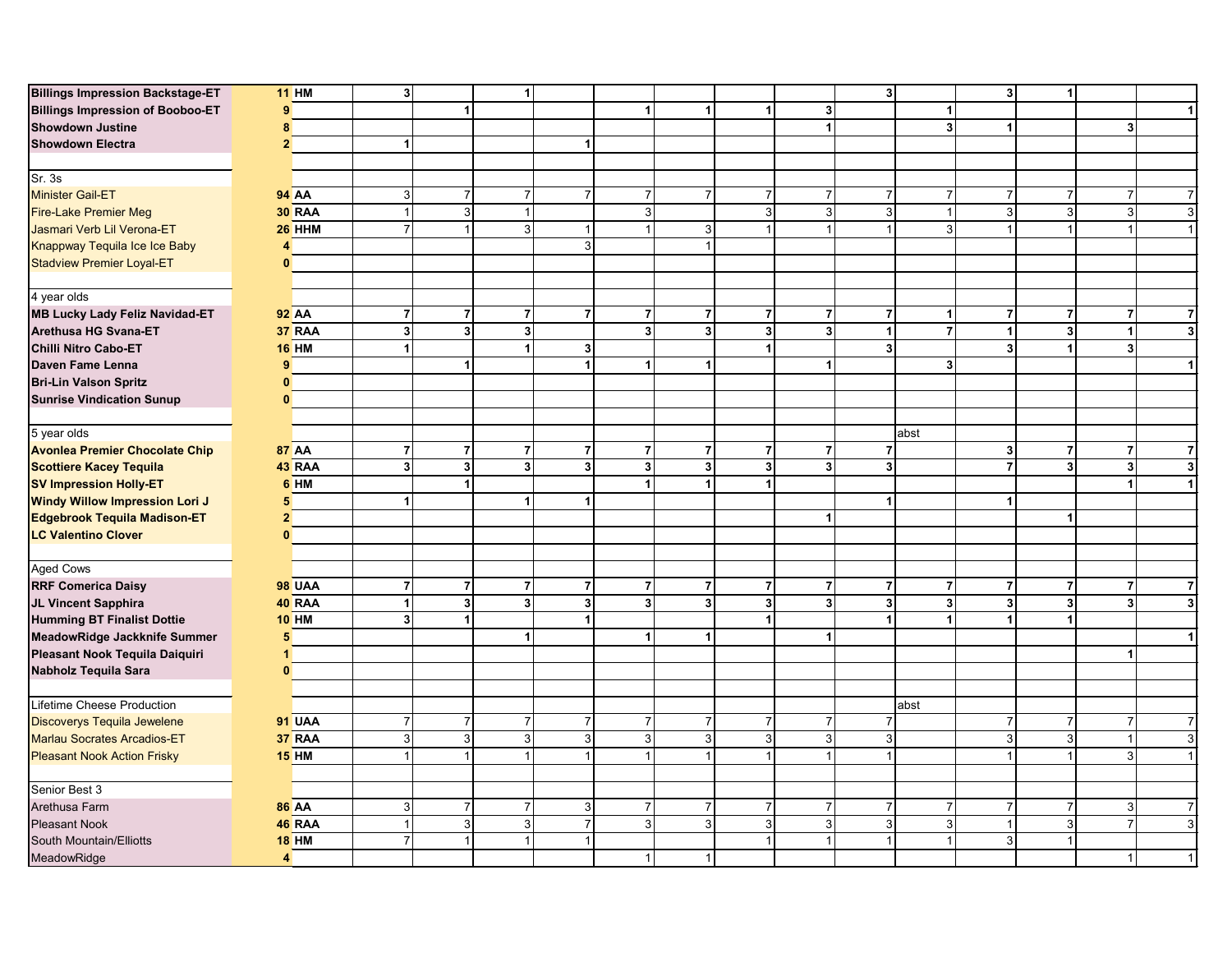| <b>Billings Impression Backstage-ET</b> | $11$ HM                 | $\mathbf{3}$            |                         | $\blacktriangleleft$    |                         |                         |                         |                         |                         | 3 <sup>1</sup>    |                      | 3                       | $\mathbf{1}$            |                                  |
|-----------------------------------------|-------------------------|-------------------------|-------------------------|-------------------------|-------------------------|-------------------------|-------------------------|-------------------------|-------------------------|-------------------|----------------------|-------------------------|-------------------------|----------------------------------|
| <b>Billings Impression of Booboo-ET</b> | 9                       |                         |                         |                         |                         | 1                       | $\overline{1}$          | $\overline{1}$          | $\overline{\mathbf{3}}$ |                   | $\blacktriangleleft$ |                         |                         |                                  |
| <b>Showdown Justine</b>                 | 8                       |                         |                         |                         |                         |                         |                         |                         | $\mathbf{1}$            |                   | 3 <sup>1</sup>       | $\overline{1}$          |                         | 3                                |
| <b>Showdown Electra</b>                 | $\overline{2}$          | $\mathbf{1}$            |                         |                         | $\blacktriangleleft$    |                         |                         |                         |                         |                   |                      |                         |                         |                                  |
|                                         |                         |                         |                         |                         |                         |                         |                         |                         |                         |                   |                      |                         |                         |                                  |
| Sr.3s                                   |                         |                         |                         |                         |                         |                         |                         |                         |                         |                   |                      |                         |                         |                                  |
| <b>Minister Gail-ET</b>                 | <b>94 AA</b>            | $\mathbf{3}$            | $\overline{7}$          | $\overline{7}$          | $\overline{7}$          | $\boldsymbol{7}$        | $\overline{7}$          | $\overline{7}$          | $\overline{7}$          | $\overline{7}$    | $\overline{7}$       | $\overline{7}$          | $\boldsymbol{7}$        | $\overline{7}$                   |
| <b>Fire-Lake Premier Meg</b>            | <b>30 RAA</b>           | $\overline{1}$          | 3                       | $\mathbf{1}$            |                         | $\overline{3}$          |                         | $\mathbf{3}$            | 3                       | 3                 |                      | $\overline{3}$          | 3                       | 3<br>$\mathbf{3}$                |
| Jasmari Verb Lil Verona-ET              | $26$ HHM                | $\overline{7}$          | $\mathbf{1}$            | 3 <sup>1</sup>          | 1                       |                         | 3                       |                         |                         | 1                 | 3 <sup>1</sup>       | $\overline{1}$          | $\mathbf{1}$            | $\overline{1}$<br>$\overline{1}$ |
| Knappway Tequila Ice Ice Baby           | 4                       |                         |                         |                         | $\overline{3}$          |                         |                         |                         |                         |                   |                      |                         |                         |                                  |
| Stadview Premier Loyal-ET               | $\mathbf{0}$            |                         |                         |                         |                         |                         |                         |                         |                         |                   |                      |                         |                         |                                  |
|                                         |                         |                         |                         |                         |                         |                         |                         |                         |                         |                   |                      |                         |                         |                                  |
| 4 year olds                             |                         |                         |                         |                         |                         |                         |                         |                         |                         |                   |                      |                         |                         |                                  |
| <b>MB Lucky Lady Feliz Navidad-ET</b>   | <b>92 AA</b>            | $\overline{7}$          | $\overline{7}$          | $\overline{7}$          | $\overline{7}$          | $\overline{7}$          | $\overline{7}$          | $\overline{7}$          | $\overline{7}$          | $\overline{7}$    | 1                    | $\overline{7}$          | $\overline{7}$          | $\overline{7}$                   |
| Arethusa HG Svana-ET                    | 37 RAA                  | $\mathbf{3}$            | 3                       | $\mathbf{3}$            |                         | $\overline{\mathbf{3}}$ | 3 <sup>1</sup>          | $\overline{\mathbf{3}}$ | $\overline{3}$          | $\mathbf{1}$      | $\overline{7}$       | $\overline{1}$          | $\mathbf{3}$            | $\mathbf{1}$<br>3                |
| Chilli Nitro Cabo-ET                    | $16$ HM                 | $\overline{1}$          |                         | 1                       | 3 <sup>1</sup>          |                         |                         | 1                       |                         | 3 <sup>1</sup>    |                      | $\overline{\mathbf{3}}$ | $\blacktriangleleft$    | $\overline{\mathbf{3}}$          |
| Daven Fame Lenna                        | 9                       |                         | 1                       |                         | $\blacktriangleleft$    |                         | 1                       |                         |                         |                   | 3 <sup>1</sup>       |                         |                         |                                  |
| <b>Bri-Lin Valson Spritz</b>            | $\mathbf{0}$            |                         |                         |                         |                         |                         |                         |                         |                         |                   |                      |                         |                         |                                  |
| <b>Sunrise Vindication Sunup</b>        | $\mathbf{0}$            |                         |                         |                         |                         |                         |                         |                         |                         |                   |                      |                         |                         |                                  |
|                                         |                         |                         |                         |                         |                         |                         |                         |                         |                         |                   |                      |                         |                         |                                  |
| 5 year olds                             |                         |                         |                         |                         |                         |                         |                         |                         |                         |                   | abst                 |                         |                         |                                  |
| <b>Avonlea Premier Chocolate Chip</b>   | <b>87 AA</b>            | $\overline{7}$          | $\overline{\mathbf{r}}$ | $\overline{7}$          | $\overline{7}$          | $\overline{7}$          | $\overline{7}$          | $\overline{7}$          | $\overline{7}$          | $\overline{7}$    |                      | 3                       | $\overline{\mathbf{7}}$ | $\overline{7}$<br>7              |
| <b>Scottiere Kacey Tequila</b>          | 43 RAA                  | $\overline{\mathbf{3}}$ | 3                       | $\overline{\mathbf{3}}$ | $\overline{\mathbf{3}}$ | 3                       | $\mathbf{3}$            | $\mathbf{3}$            | 3                       | $\overline{3}$    |                      | $\overline{7}$          | $\overline{\mathbf{3}}$ | 3 <sup>1</sup><br>3              |
| <b>SV Impression Holly-ET</b>           | 6 HM                    |                         | 1                       |                         |                         |                         |                         | 1                       |                         |                   |                      |                         |                         | 1                                |
| <b>Windy Willow Impression Lori J</b>   | 5                       | $\overline{1}$          |                         | $\blacktriangleleft$    | $\blacktriangleleft$    |                         |                         |                         |                         | $\mathbf{1}$      |                      | $\overline{1}$          |                         |                                  |
| Edgebrook Tequila Madison-ET            | $\overline{2}$          |                         |                         |                         |                         |                         |                         |                         |                         |                   |                      |                         | $\mathbf{1}$            |                                  |
| <b>LC Valentino Clover</b>              | $\mathbf{0}$            |                         |                         |                         |                         |                         |                         |                         |                         |                   |                      |                         |                         |                                  |
|                                         |                         |                         |                         |                         |                         |                         |                         |                         |                         |                   |                      |                         |                         |                                  |
| Aged Cows                               |                         |                         |                         |                         |                         |                         |                         |                         |                         |                   |                      |                         |                         |                                  |
| <b>RRF Comerica Daisy</b>               | <b>98 UAA</b>           | $\overline{7}$          | 7                       | $\overline{7}$          | $\overline{7}$          | $\overline{7}$          | $\overline{7}$          | $\overline{7}$          | $\overline{7}$          | $\overline{7}$    | 7                    | $\overline{7}$          | $\overline{7}$          | $\overline{7}$<br>7              |
| JL Vincent Sapphira                     | 40 RAA                  | $\overline{1}$          | 3                       | $\overline{\mathbf{3}}$ | $\mathbf{3}$            | $\mathbf 3$             | $\overline{\mathbf{3}}$ | $\overline{\mathbf{3}}$ | $\overline{\mathbf{3}}$ | $\mathbf{3}$      | 3 <sup>1</sup>       | $\mathbf{3}$            | $\mathbf 3$             | $\overline{\mathbf{3}}$<br>3     |
| <b>Humming BT Finalist Dottie</b>       | <b>10 HM</b>            | $\overline{\mathbf{3}}$ | 1                       |                         | 1                       |                         |                         | 1                       |                         | $\mathbf{1}$      | 1                    | 1                       | $\mathbf{1}$            |                                  |
| MeadowRidge Jackknife Summer            | 5                       |                         |                         | $\blacktriangleleft$    |                         | 1                       | 1                       |                         |                         |                   |                      |                         |                         |                                  |
| Pleasant Nook Tequila Daiquiri          | 1                       |                         |                         |                         |                         |                         |                         |                         |                         |                   |                      |                         |                         |                                  |
| Nabholz Tequila Sara                    | $\mathbf{0}$            |                         |                         |                         |                         |                         |                         |                         |                         |                   |                      |                         |                         |                                  |
| Lifetime Cheese Production              |                         |                         |                         |                         |                         |                         |                         |                         |                         |                   | abst                 |                         |                         |                                  |
| Discoverys Tequila Jewelene             | 91 UAA                  | $\overline{7}$          | $\overline{7}$          | $\overline{7}$          | $\overline{7}$          | $\overline{7}$          | $\overline{7}$          | $\overline{7}$          | $\overline{7}$          | $\overline{7}$    |                      | $\overline{7}$          | $\boldsymbol{7}$        | $\overline{7}$<br>$\overline{7}$ |
| Marlau Socrates Arcadios-ET             |                         | $\mathbf{3}$            |                         | 3                       |                         |                         |                         | 3                       | 3                       |                   |                      |                         |                         | $\overline{1}$                   |
|                                         | 37 RAA<br><b>15 HM</b>  | $\overline{1}$          | 3                       |                         | $\mathsf 3$<br>1        | $\mathsf 3$             | $\mathbf{3}$            |                         |                         | $\mathbf{3}$<br>1 |                      | $\mathbf{3}$            | $\mathsf 3$<br>1        | $\mathsf 3$<br>3                 |
| <b>Pleasant Nook Action Frisky</b>      |                         |                         |                         |                         |                         |                         |                         |                         |                         |                   |                      |                         |                         |                                  |
| Senior Best 3                           |                         |                         |                         |                         |                         |                         |                         |                         |                         |                   |                      |                         |                         |                                  |
| Arethusa Farm                           | <b>86 AA</b>            | 3                       | $\overline{7}$          | $\overline{7}$          | 3                       | $\overline{7}$          | $\overline{7}$          | 7                       |                         | $\overline{7}$    | $\overline{7}$       | $\overline{7}$          | $\overline{7}$          | 3<br>$\overline{7}$              |
| <b>Pleasant Nook</b>                    | 46 RAA                  | $\overline{1}$          | 3                       | 3                       | $\overline{7}$          | $\overline{3}$          | $\mathbf{3}$            | 3                       | 3                       | $\mathbf{3}$      | 3 <sup>1</sup>       |                         | $\overline{3}$          | $\overline{7}$<br>3              |
| South Mountain/Elliotts                 | $18$ HM                 | $\overline{7}$          | 1                       |                         | $\overline{1}$          |                         |                         |                         |                         | 1                 |                      | 3                       | $\mathbf{1}$            |                                  |
| MeadowRidge                             | $\overline{\mathbf{4}}$ |                         |                         |                         |                         | $\mathbf{1}$            | $\mathbf{1}$            |                         |                         |                   |                      |                         |                         |                                  |